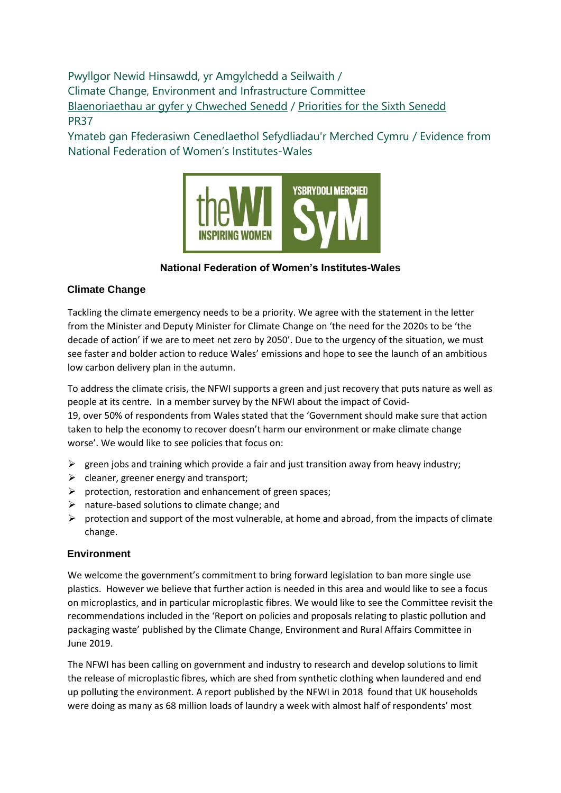Pwyllgor Newid Hinsawdd, yr Amgylchedd a Seilwaith / Climate Change, Environment and Infrastructure Committee [Blaenoriaethau ar gyfer y Chweched Senedd](https://busnes.senedd.cymru/mgConsultationDisplay.aspx?id=427&RPID=1026452002&cp=yes) / Priorities [for the Sixth Senedd](https://business.senedd.wales/mgConsultationDisplay.aspx?id=427&RPID=1026452002&cp=yes) PR37

Ymateb gan Ffederasiwn Cenedlaethol Sefydliadau'r Merched Cymru / Evidence from National Federation of Women's Institutes-Wales



# **National Federation of Women's Institutes-Wales**

# **Climate Change**

Tackling the climate emergency needs to be a priority. We agree with the statement in the letter from the Minister and Deputy Minister for Climate Change on 'the need for the 2020s to be 'the decade of action' if we are to meet net zero by 2050'. Due to the urgency of the situation, we must see faster and bolder action to reduce Wales' emissions and hope to see the launch of an ambitious low carbon delivery plan in the autumn.

To address the climate crisis, the NFWI supports a green and just recovery that puts nature as well as people at its centre. In a member survey by the NFWI about the impact of Covid-

19, over 50% of respondents from Wales stated that the 'Government should make sure that action taken to help the economy to recover doesn't harm our environment or make climate change worse'. We would like to see policies that focus on:

- $\triangleright$  green jobs and training which provide a fair and just transition away from heavy industry;
- $\triangleright$  cleaner, greener energy and transport;
- $\triangleright$  protection, restoration and enhancement of green spaces;
- ➢ nature-based solutions to climate change; and
- $\triangleright$  protection and support of the most vulnerable, at home and abroad, from the impacts of climate change.

## **Environment**

We welcome the government's commitment to bring forward legislation to ban more single use plastics. However we believe that further action is needed in this area and would like to see a focus on microplastics, and in particular microplastic fibres. We would like to see the Committee revisit the recommendations included in the 'Report on policies and proposals relating to plastic pollution and packaging waste' published by the Climate Change, Environment and Rural Affairs Committee in June 2019.

The NFWI has been calling on government and industry to research and develop solutions to limit the release of microplastic fibres, which are shed from synthetic clothing when laundered and end up polluting the environment. A report published by the NFWI in 2018 found that UK households were doing as many as 68 million loads of laundry a week with almost half of respondents' most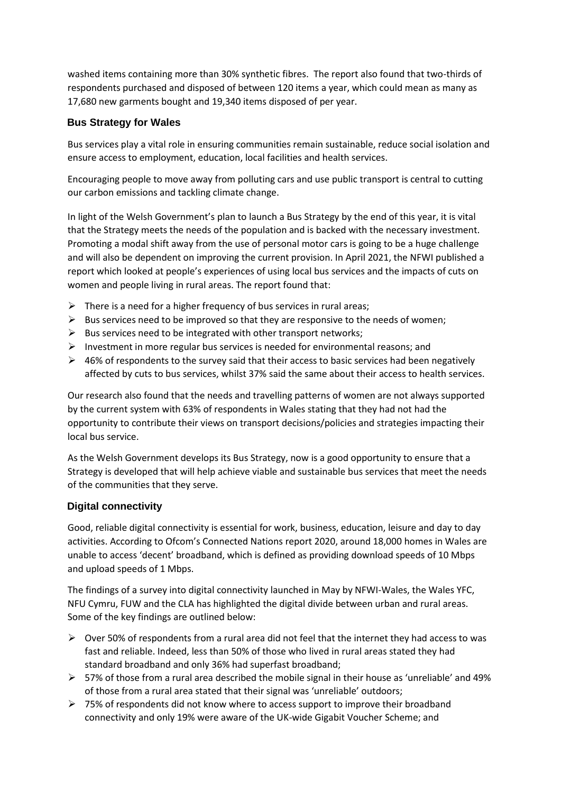washed items containing more than 30% synthetic fibres. The report also found that two-thirds of respondents purchased and disposed of between 120 items a year, which could mean as many as 17,680 new garments bought and 19,340 items disposed of per year.

## **Bus Strategy for Wales**

Bus services play a vital role in ensuring communities remain sustainable, reduce social isolation and ensure access to employment, education, local facilities and health services.

Encouraging people to move away from polluting cars and use public transport is central to cutting our carbon emissions and tackling climate change.

In light of the Welsh Government's plan to launch a Bus Strategy by the end of this year, it is vital that the Strategy meets the needs of the population and is backed with the necessary investment. Promoting a modal shift away from the use of personal motor cars is going to be a huge challenge and will also be dependent on improving the current provision. In April 2021, the NFWI published a report which looked at people's experiences of using local bus services and the impacts of cuts on women and people living in rural areas. The report found that:

- $\triangleright$  There is a need for a higher frequency of bus services in rural areas:
- $\triangleright$  Bus services need to be improved so that they are responsive to the needs of women;
- $\triangleright$  Bus services need to be integrated with other transport networks;
- $\triangleright$  Investment in more regular bus services is needed for environmental reasons; and
- $\triangleright$  46% of respondents to the survey said that their access to basic services had been negatively affected by cuts to bus services, whilst 37% said the same about their access to health services.

Our research also found that the needs and travelling patterns of women are not always supported by the current system with 63% of respondents in Wales stating that they had not had the opportunity to contribute their views on transport decisions/policies and strategies impacting their local bus service.

As the Welsh Government develops its Bus Strategy, now is a good opportunity to ensure that a Strategy is developed that will help achieve viable and sustainable bus services that meet the needs of the communities that they serve.

## **Digital connectivity**

Good, reliable digital connectivity is essential for work, business, education, leisure and day to day activities. According to Ofcom's Connected Nations report 2020, around 18,000 homes in Wales are unable to access 'decent' broadband, which is defined as providing download speeds of 10 Mbps and upload speeds of 1 Mbps.

The findings of a survey into digital connectivity launched in May by NFWI-Wales, the Wales YFC, NFU Cymru, FUW and the CLA has highlighted the digital divide between urban and rural areas. Some of the key findings are outlined below:

- $\triangleright$  Over 50% of respondents from a rural area did not feel that the internet they had access to was fast and reliable. Indeed, less than 50% of those who lived in rural areas stated they had standard broadband and only 36% had superfast broadband;
- $\triangleright$  57% of those from a rural area described the mobile signal in their house as 'unreliable' and 49% of those from a rural area stated that their signal was 'unreliable' outdoors;
- $\triangleright$  75% of respondents did not know where to access support to improve their broadband connectivity and only 19% were aware of the UK-wide Gigabit Voucher Scheme; and